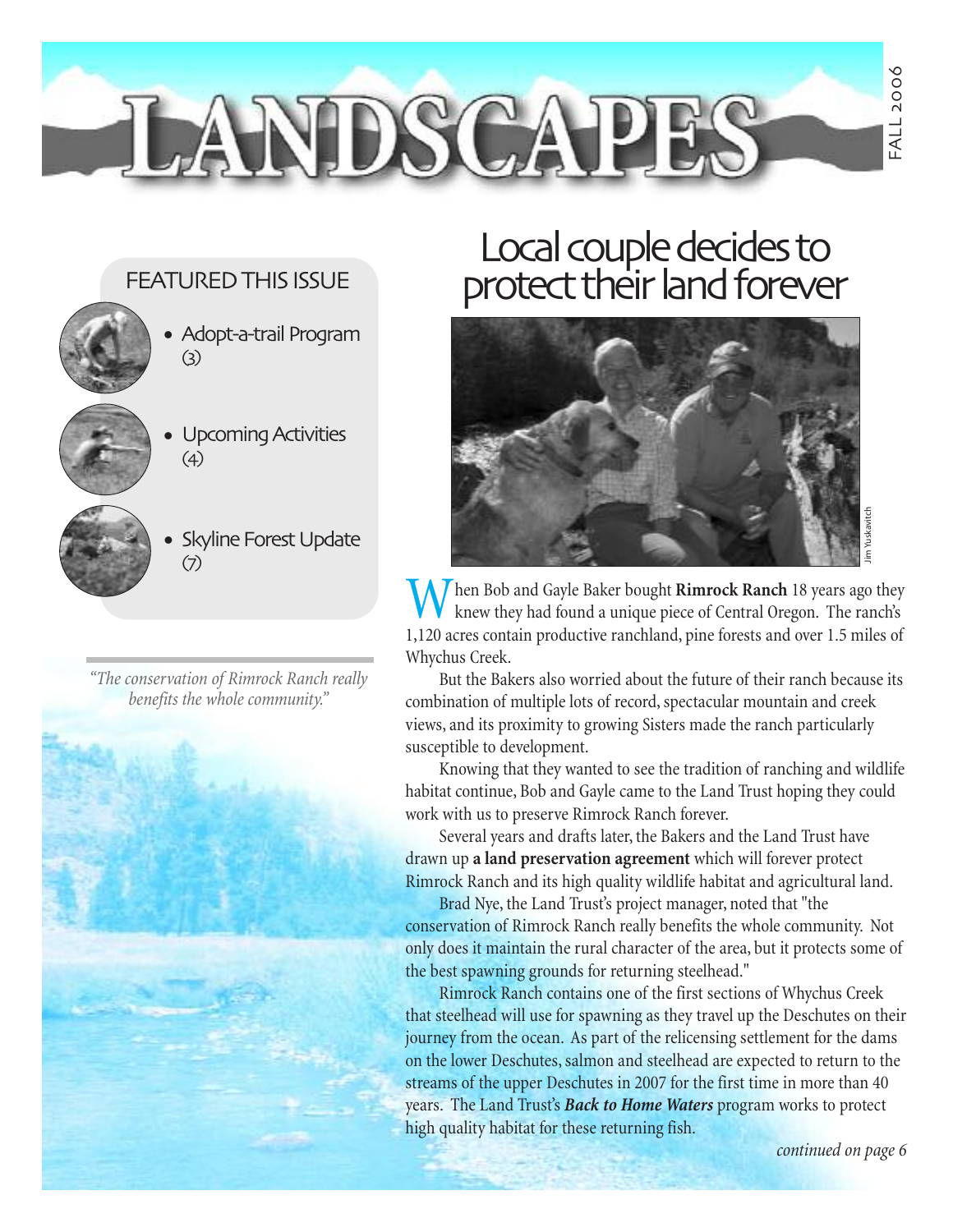#### FEATURED THIS ISSUE

- 
- Adopt-a-trail Program (3)

**JLANDSCAP** 

- Upcoming Activities (4) •
- - Skyline Forest Update (7)

*" The conservation of Rimrock Ranch really benefits the whole community."*

## Local couple decides to protect their land forever



hen Bob and Gayle Baker bought Rimrock Ranch 18 years ago they knew they had found a unique piece of Central Oregon. The ranch's 1,120 acres contain productive ranchland, pine forests and over 1.5 miles of Whychus Creek.

But the Bakers also worried about the future of their ranch because its combination of multiple lots of record, spectacular mountain and creek views, and its proximity to growing Sisters made the ranch particularly susceptible to development.

Knowing that they wanted to see the tradition of ranching and wildlife habitat continue, Bob and Gayle came to the Land Trust hoping they could work with us to preserve Rimrock Ranch forever.

Several years and drafts later, the Bakers and the Land Trust have drawn up **a land preservation agreement** which will forever protect Rimrock Ranch and its high quality wildlife habitat and agricultural land.

Brad Nye, the Land Trust's project manager, noted that "the conservation of Rimrock Ranch really benefits the whole community. Not only does it maintain the rural character of the area, but it protects some of the best spawning grounds for returning steelhead."

Rimrock Ranch contains one of the first sections of Whychus Creek that steelhead will use for spawning as they travel up the Deschutes on their journey from the ocean. As part of the relicensing settlement for the dams on the lower Deschutes, salmon and steelhead are expected to return to the streams of the upper Deschutes in 2007 for the first time in more than 40 years. The Land Trust's *Back to Home Waters* program works to protect high quality habitat for these returning fish.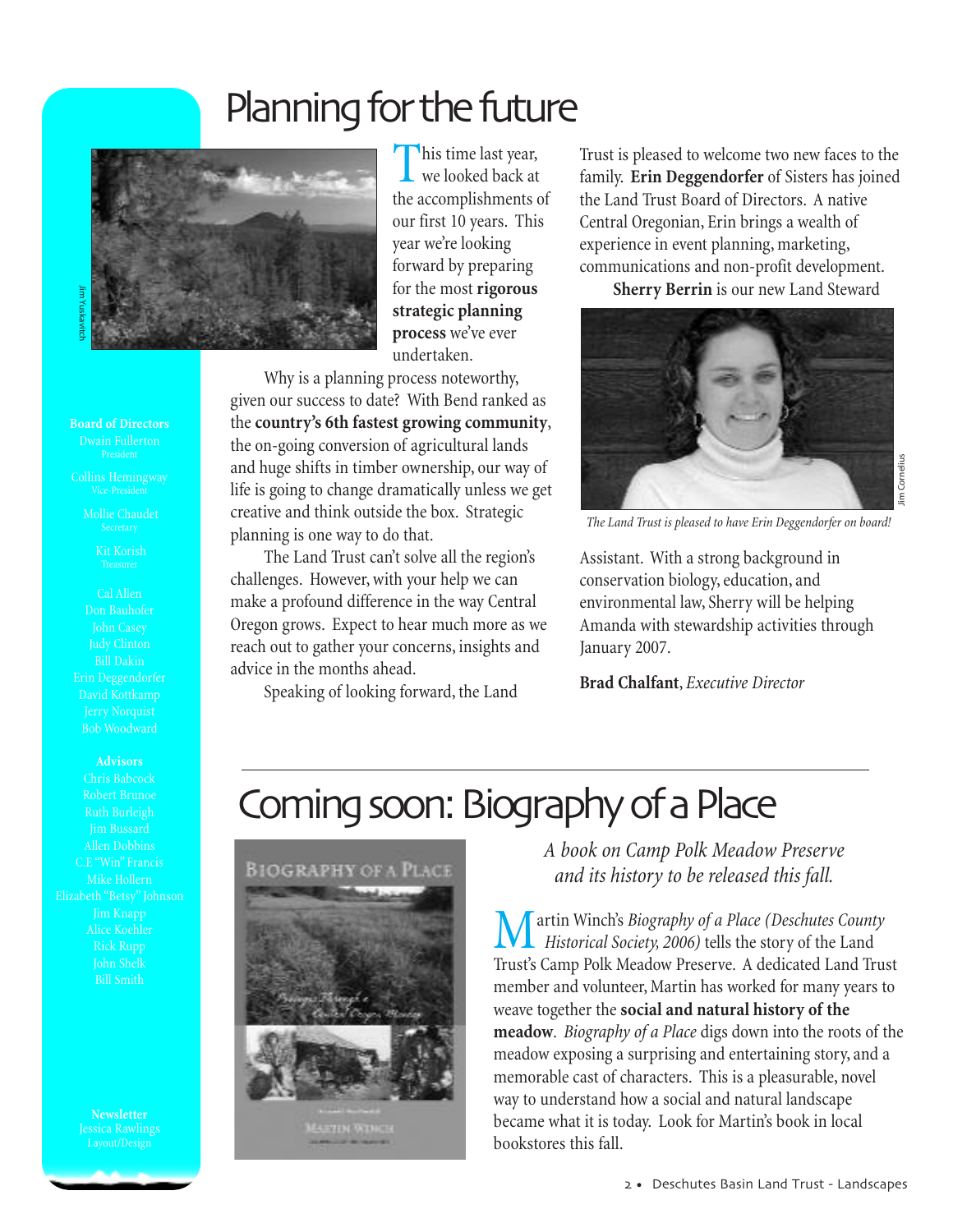## Planning for the future



This time last year, we looked back at the accomplishments of our first 10 years. This year we're looking forward by preparing for the most **rigorous strategic planning process** we've ever undertaken.

Why is a planning process noteworthy, given our success to date? With Bend ranked as the **country's 6th fastest growing community**, the on-going conversion of agricultural lands and huge shifts in timber ownership, our way of life is going to change dramatically unless we get creative and think outside the box. Strategic planning is one way to do that.

The Land Trust can't solve all the region's challenges. However, with your help we can make a profound difference in the way Central Oregon grows. Expect to hear much more as we reach out to gather your concerns, insights and advice in the months ahead.

Speaking of looking forward, the Land

Trust is pleased to welcome two new faces to the family. **Erin Deggendorfer** of Sisters has joined the Land Trust Board of Directors. A native Central Oregonian, Erin brings a wealth of experience in event planning, marketing, communications and non-profit development.

**Sherry Berrin** is our new Land Steward



*The Land Trust is pleased to have Erin Deggendorfer on board!*

Jim Cornelius

Cornelius

Assistant. With a strong background in conservation biology, education, and environmental law, Sherry will be helping Amanda with stewardship activities through January 2007.

**Brad Chalfant**, *Executive Director*

## Coming soon: Biography of a Place



*A book on Camp Polk Meadow Preserve and its history to be released this fall.*

artin Winch's *Biography of a Place (Deschutes County Historical Society, 2006)* tells the story of the Land Trust's Camp Polk Meadow Preserve. A dedicated Land Trust member and volunteer, Martin has worked for many years to weave together the **social and natural history of the meadow**. *Biography of a Place* digs down into the roots of the meadow exposing a surprising and entertaining story, and a memorable cast of characters. This is a pleasurable, novel way to understand how a social and natural landscape became what it is today. Look for Martin's book in local bookstores this fall.

**Board of Directors**

Mollie Chaudet

Kit Korish

Don Bauhofer John Casey Bill Dakin Erin Deggendorfer David Kottkamp

**Advisors**

Chris Babcock Jim Bussard Alice Koehler John Shelk

> **Newsletter** Jessica Rawlings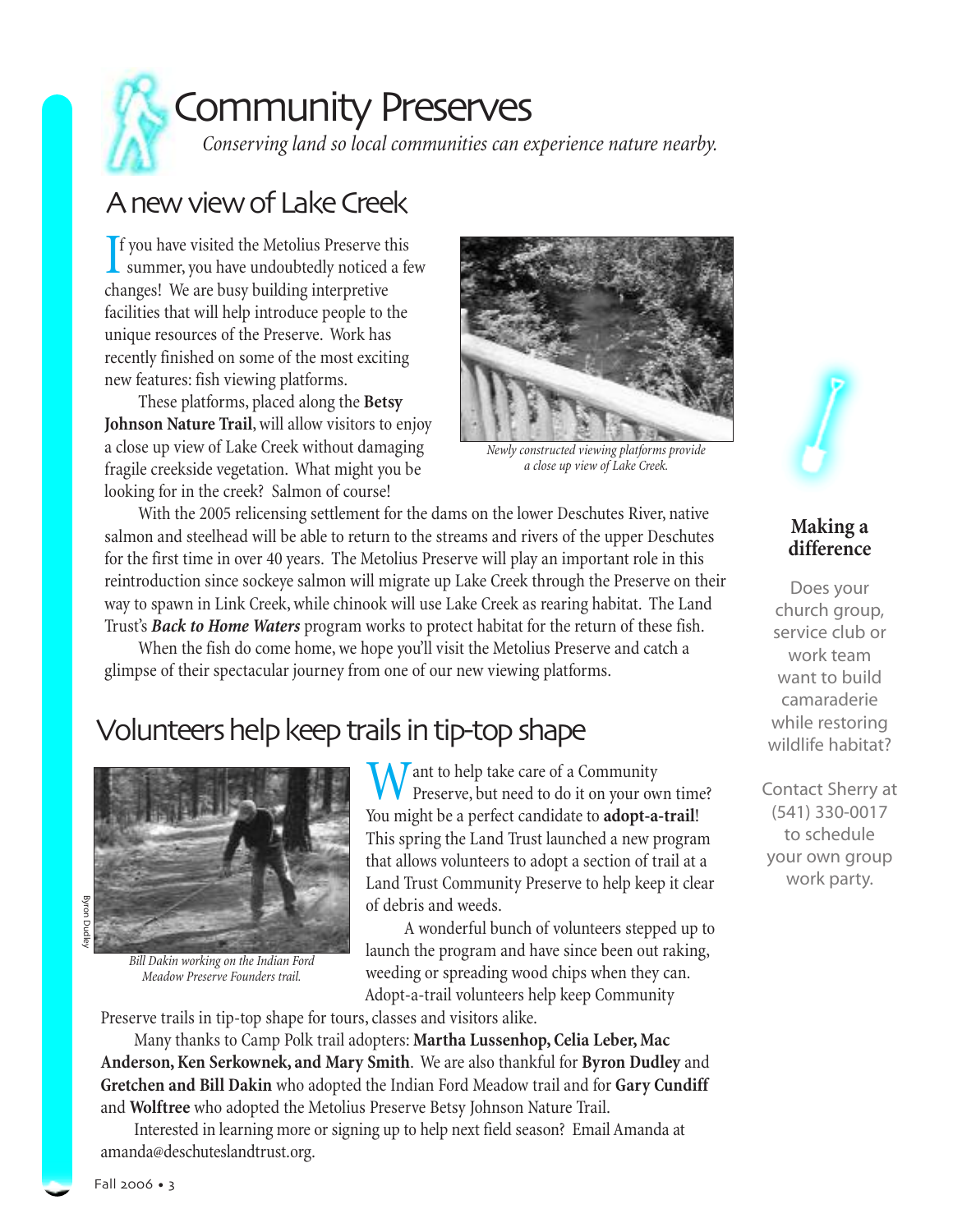

## Community Preserves

*Conserving land so local communities can experience nature nearby.*

### A new view of Lake Creek

If you have visited the Metolius Preserve this<br>summer, you have undoubtedly noticed a few f you have visited the Metolius Preserve this changes! We are busy building interpretive facilities that will help introduce people to the unique resources of the Preserve. Work has recently finished on some of the most exciting new features: fish viewing platforms.

These platforms, placed along the **Betsy Johnson Nature Trail**, will allow visitors to enjoy a close up view of Lake Creek without damaging fragile creekside vegetation. What might you be looking for in the creek? Salmon of course!



*Newly constructed viewing platforms provide a close up view of Lake Creek.*

With the 2005 relicensing settlement for the dams on the lower Deschutes River, native salmon and steelhead will be able to return to the streams and rivers of the upper Deschutes for the first time in over 40 years. The Metolius Preserve will play an important role in this reintroduction since sockeye salmon will migrate up Lake Creek through the Preserve on their way to spawn in Link Creek, while chinook will use Lake Creek as rearing habitat. The Land Trust's *Back to Home Waters* program works to protect habitat for the return of these fish.

When the fish do come home, we hope you'll visit the Metolius Preserve and catch a glimpse of their spectacular journey from one of our new viewing platforms.

### Volunteers help keep trails in tip-top shape



*Bill Dakin working on the Indian Ford Meadow Preserve Founders trail.*

 $\bigwedge$  *T* ant to help take care of a Community **V** Preserve, but need to do it on your own time? You might be a perfect candidate to **adopt-a-trail**! This spring the Land Trust launched a new program that allows volunteers to adopt a section of trail at a Land Trust Community Preserve to help keep it clear of debris and weeds.

A wonderful bunch of volunteers stepped up to launch the program and have since been out raking, weeding or spreading wood chips when they can. Adopt-a-trail volunteers help keep Community

Preserve trails in tip-top shape for tours, classes and visitors alike.

Many thanks to Camp Polk trail adopters: **Martha Lussenhop, Celia Leber, Mac Anderson, Ken Serkownek, and Mary Smith**. We are also thankful for **Byron Dudley** and **Gretchen and Bill Dakin** who adopted the Indian Ford Meadow trail and for **Gary Cundiff** and **Wolftree** who adopted the Metolius Preserve Betsy Johnson Nature Trail.

Interested in learning more or signing up to help next field season? Email Amanda at amanda@deschuteslandtrust.org.



#### **Making a difference**

Does your church group, service club or work team want to build camaraderie while restoring wildlife habitat?

Contact Sherry at (541) 330-0017 to schedule your own group work party.

Byron Dudie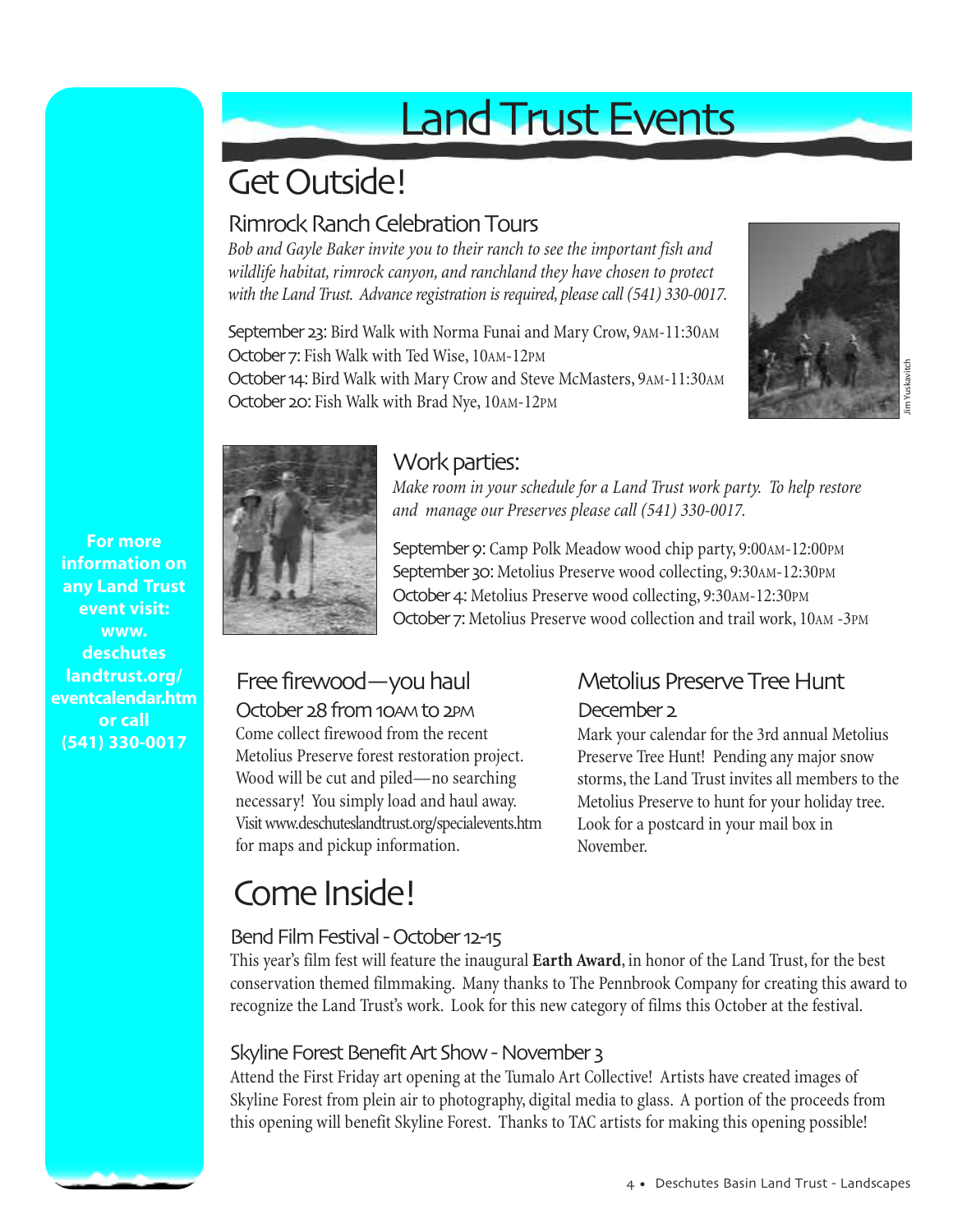# Land Trust Events

## Get Outside!

#### Rimrock Ranch Celebration Tours

*Bob and Gayle Baker invite you to their ranch to see the important fish and wildlife habitat, rimrock canyon, and ranchland they have chosen to protect with the Land Trust. Advance registration is required, please call (541) 330-0017.*

September 23: Bird Walk with Norma Funai and Mary Crow, 9AM-11:30AM October 7: Fish Walk with Ted Wise, 10AM-12PM October 14: Bird Walk with Mary Crow and Steve McMasters, 9AM-11:30AM October 20: Fish Walk with Brad Nye, 10AM-12PM





#### Work parties:

*Make room in your schedule for a Land Trust work party. To help restore and manage our Preserves please call (541) 330-0017.*

September 9: Camp Polk Meadow wood chip party, 9:00AM-12:00PM September 30: Metolius Preserve wood collecting, 9:30AM-12:30PM October 4: Metolius Preserve wood collecting, 9:30AM-12:30PM October 7: Metolius Preserve wood collection and trail work, 10AM -3PM

### Free firewood—you haul

October 28 from 10AM to 2PM Come collect firewood from the recent Metolius Preserve forest restoration project. Wood will be cut and piled—no searching necessary! You simply load and haul away. Visit www.deschuteslandtrust.org/specialevents.htm for maps and pickup information.

### Metolius Preserve Tree Hunt

#### December 2

Mark your calendar for the 3rd annual Metolius Preserve Tree Hunt! Pending any major snow storms, the Land Trust invites all members to the Metolius Preserve to hunt for your holiday tree. Look for a postcard in your mail box in November.

## Come Inside!

#### Bend Film Festival - October 12-15

This year's film fest will feature the inaugural **Earth Award**, in honor of the Land Trust, for the best conservation themed filmmaking. Many thanks to The Pennbrook Company for creating this award to recognize the Land Trust's work. Look for this new category of films this October at the festival.

#### Skyline Forest Benefit Art Show - November 3

Attend the First Friday art opening at the Tumalo Art Collective! Artists have created images of Skyline Forest from plein air to photography, digital media to glass. A portion of the proceeds from this opening will benefit Skyline Forest. Thanks to TAC artists for making this opening possible!

**For more information on any Land Trust event visit: www. deschutes landtrust.org/ eventcalendar.htm or call (541) 330-0017**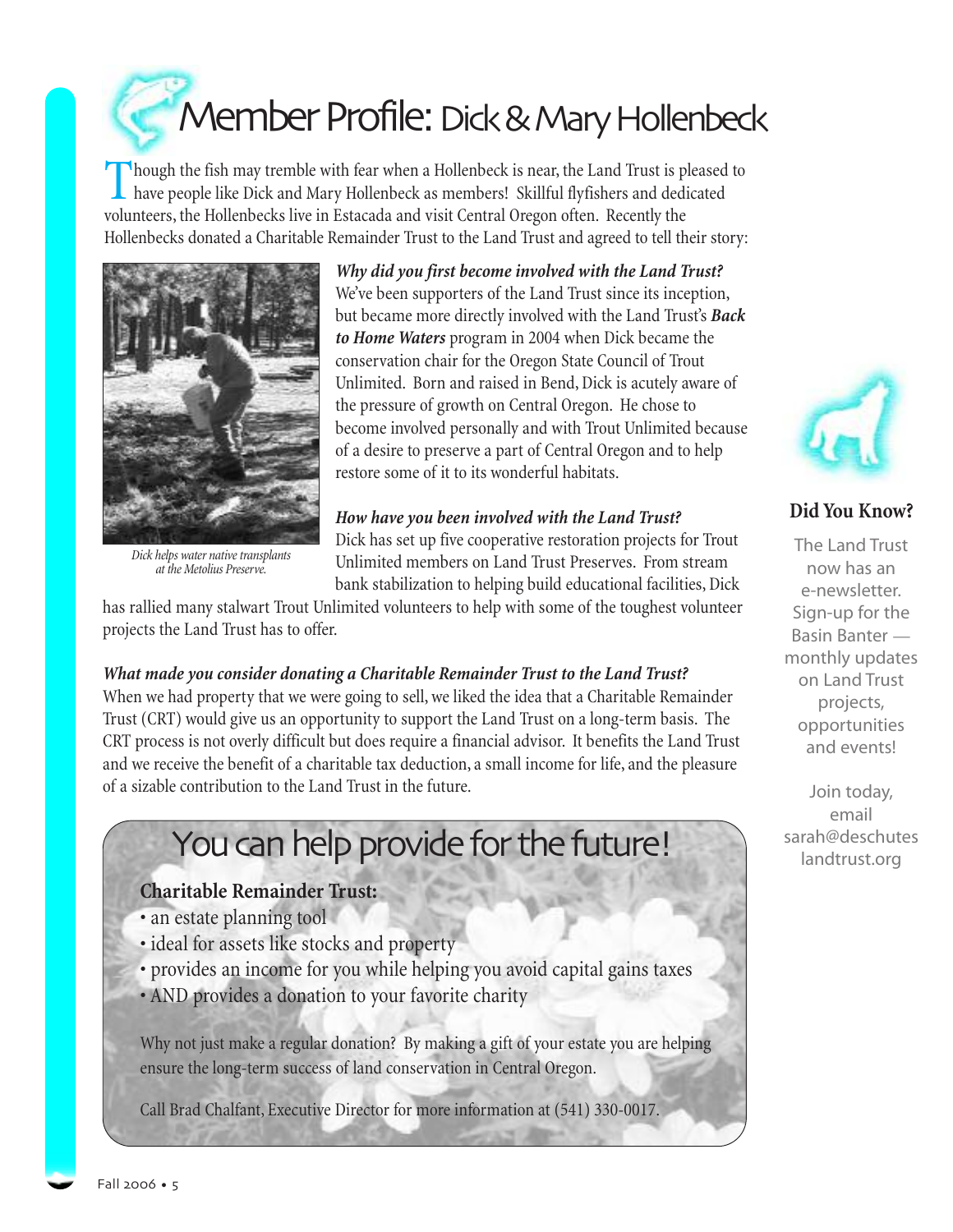Member Profile: Dick & Mary Hollenbeck

Though the fish may tremble with fear when a Hollenbeck is near, the Land Trust is pleased to have people like Dick and Mary Hollenbeck as members! Skillful flyfishers and dedicated volunteers, the Hollenbecks live in Estacada and visit Central Oregon often. Recently the Hollenbecks donated a Charitable Remainder Trust to the Land Trust and agreed to tell their story:



*Dick helps water native transplants at the Metolius Preserve.*

*Why did you first become involved with the Land Trust?* We've been supporters of the Land Trust since its inception, but became more directly involved with the Land Trust's *Back to Home Waters* program in 2004 when Dick became the conservation chair for the Oregon State Council of Trout Unlimited. Born and raised in Bend, Dick is acutely aware of the pressure of growth on Central Oregon. He chose to become involved personally and with Trout Unlimited because of a desire to preserve a part of Central Oregon and to help restore some of it to its wonderful habitats.

*How have you been involved with the Land Trust?*

Dick has set up five cooperative restoration projects for Trout Unlimited members on Land Trust Preserves. From stream bank stabilization to helping build educational facilities, Dick

has rallied many stalwart Trout Unlimited volunteers to help with some of the toughest volunteer projects the Land Trust has to offer.

#### *What made you consider donating a Charitable Remainder Trust to the Land Trust?*

When we had property that we were going to sell, we liked the idea that a Charitable Remainder Trust (CRT) would give us an opportunity to support the Land Trust on a long-term basis. The CRT process is not overly difficult but does require a financial advisor. It benefits the Land Trust and we receive the benefit of a charitable tax deduction, a small income for life, and the pleasure of a sizable contribution to the Land Trust in the future.

## You can help provide for the future!

#### **Charitable Remainder Trust:**

- an estate planning tool
- ideal for assets like stocks and property
- provides an income for you while helping you avoid capital gains taxes • AND provides a donation to your favorite charity

Why not just make a regular donation? By making a gift of your estate you are helping ensure the long-term success of land conservation in Central Oregon.

Call Brad Chalfant, Executive Director for more information at (541) 330-0017.



#### **Did You Know?**

The Land Trust now has an e-newsletter. Sign-up for the Basin Banter monthly updates on Land Trust projects, opportunities and events!

Join today, email sarah@deschutes landtrust.org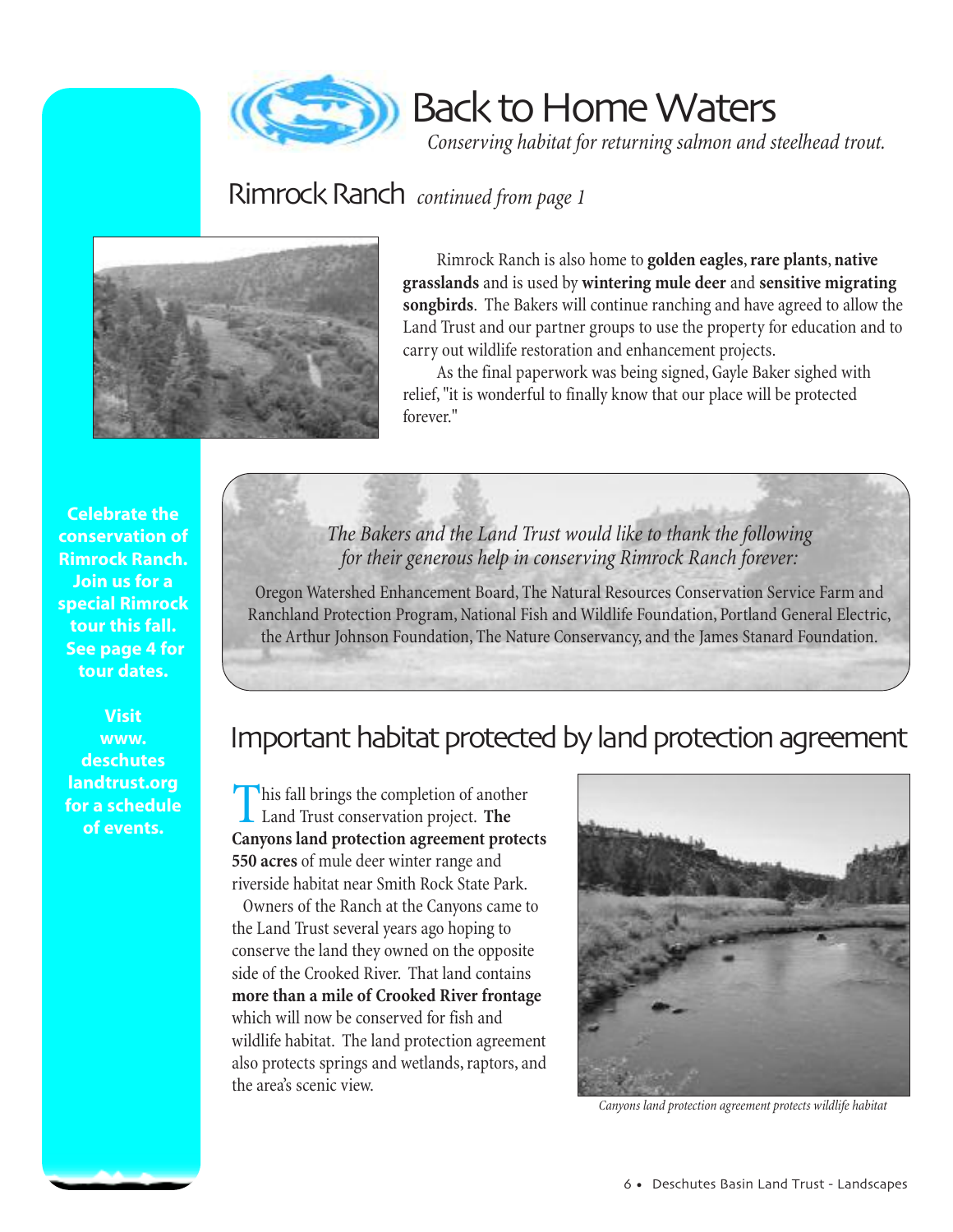

Back to Home Waters

*Conserving habitat for returning salmon and steelhead trout.*

### Rimrock Ranch *continued from page 1*



Rimrock Ranch is also home to **golden eagles**,**rare plants**, **native grasslands** and is used by **wintering mule deer** and **sensitive migrating songbirds**. The Bakers will continue ranching and have agreed to allow the Land Trust and our partner groups to use the property for education and to carry out wildlife restoration and enhancement projects.

As the final paperwork was being signed, Gayle Baker sighed with relief, "it is wonderful to finally know that our place will be protected forever."

**Celebrate the conservation of Rimrock Ranch. Join us for a special Rimrock tour this fall. See page 4 for tour dates.**

**Visit www. deschutes landtrust.org for a schedule of events.**

*The Bakers and the Land Trust would like to thank the following for their generous help in conserving Rimrock Ranch forever:*

Oregon Watershed Enhancement Board, The Natural Resources Conservation Service Farm and Ranchland Protection Program, National Fish and Wildlife Foundation, Portland General Electric, the Arthur Johnson Foundation, The Nature Conservancy, and the James Stanard Foundation.

### Important habitat protected by land protection agreement

This fall brings the completion of another Land Trust conservation project. **The Canyons land protection agreement protects 550 acres** of mule deer winter range and riverside habitat near Smith Rock State Park.

Owners of the Ranch at the Canyons came to the Land Trust several years ago hoping to conserve the land they owned on the opposite side of the Crooked River. That land contains **more than a mile of Crooked River frontage** which will now be conserved for fish and wildlife habitat. The land protection agreement also protects springs and wetlands, raptors, and the area's scenic view.



*Canyons land protection agreement protects wildlife habitat*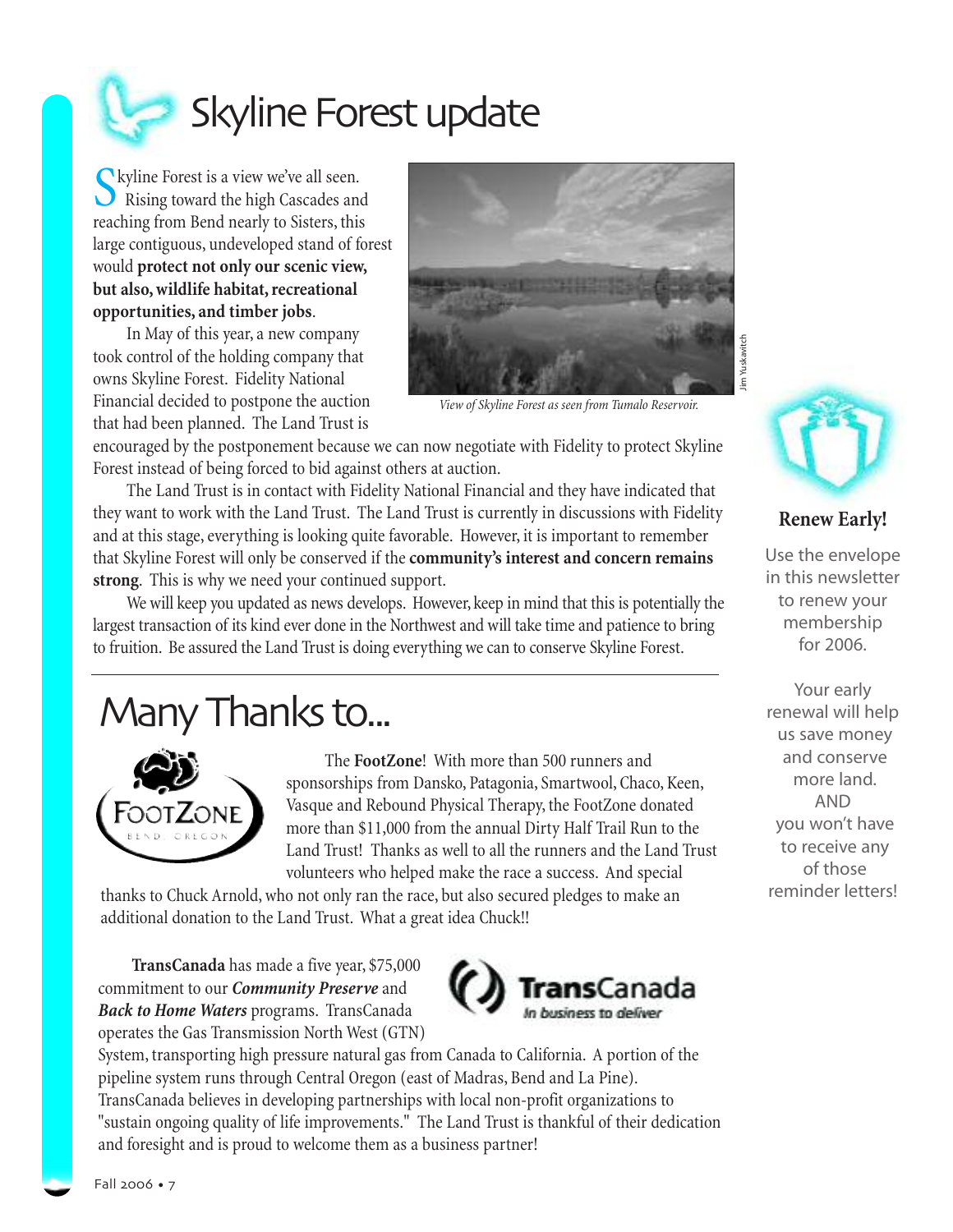

Skyline Forest is a view we've all seen. Rising toward the high Cascades and reaching from Bend nearly to Sisters, this large contiguous, undeveloped stand of forest would **protect not only our scenic view, but also, wildlife habitat, recreational opportunities, and timber jobs**.

In May of this year, a new company took control of the holding company that owns Skyline Forest. Fidelity National Financial decided to postpone the auction that had been planned. The Land Trust is



*View of Skyline Forest as seen from Tumalo Reservoir.*

encouraged by the postponement because we can now negotiate with Fidelity to protect Skyline Forest instead of being forced to bid against others at auction.

The Land Trust is in contact with Fidelity National Financial and they have indicated that they want to work with the Land Trust. The Land Trust is currently in discussions with Fidelity and at this stage, everything is looking quite favorable. However, it is important to remember that Skyline Forest will only be conserved if the**community's interest and concern remains strong**. This is why we need your continued support.

We will keep you updated as news develops. However, keep in mind that this is potentially the largest transaction of its kind ever done in the Northwest and will take time and patience to bring to fruition. Be assured the Land Trust is doing everything we can to conserve Skyline Forest.

## Many Thanks to...



The **FootZone**! With more than 500 runners and sponsorships from Dansko, Patagonia, Smartwool, Chaco, Keen, Vasque and Rebound Physical Therapy, the FootZone donated more than \$11,000 from the annual Dirty Half Trail Run to the Land Trust! Thanks as well to all the runners and the Land Trust volunteers who helped make the race a success. And special

thanks to Chuck Arnold, who not only ran the race, but also secured pledges to make an additional donation to the Land Trust. What a great idea Chuck!!

**TransCanada** has made a five year, \$75,000 commitment to our *Community Preserve* and *Back to Home Waters* programs. TransCanada operates the Gas Transmission North West (GTN)



System, transporting high pressure natural gas from Canada to California. A portion of the pipeline system runs through Central Oregon (east of Madras, Bend and La Pine). TransCanada believes in developing partnerships with local non-profit organizations to "sustain ongoing quality of life improvements." The Land Trust is thankful of their dedication and foresight and is proud to welcome them as a business partner!





#### **Renew Early!**

Use the envelope in this newsletter to renew your membership for 2006.

Your early renewal will help us save money and conserve more land. AND you won't have to receive any of those reminder letters!